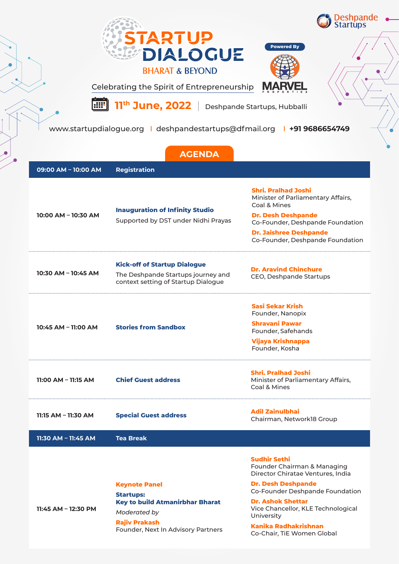

www.startupdialogue.org | deshpandestartups@dfmail.org | +91 9686654749

| <b>AGENDA</b>           |                                                                                                                                                                  |                                                                                                                                                                                                                                                                                                      |  |
|-------------------------|------------------------------------------------------------------------------------------------------------------------------------------------------------------|------------------------------------------------------------------------------------------------------------------------------------------------------------------------------------------------------------------------------------------------------------------------------------------------------|--|
| 09:00 AM - 10:00 AM     | <b>Registration</b>                                                                                                                                              |                                                                                                                                                                                                                                                                                                      |  |
| 10:00 AM - 10:30 AM     | <b>Inauguration of Infinity Studio</b><br>Supported by DST under Nidhi Prayas                                                                                    | <b>Shri. Pralhad Joshi</b><br>Minister of Parliamentary Affairs,<br>Coal & Mines<br><b>Dr. Desh Deshpande</b><br>Co-Founder, Deshpande Foundation<br><b>Dr. Jaishree Deshpande</b><br>Co-Founder, Deshpande Foundation                                                                               |  |
| 10:30 AM - 10:45 AM     | <b>Kick-off of Startup Dialogue</b><br>The Deshpande Startups journey and<br>context setting of Startup Dialogue                                                 | <b>Dr. Aravind Chinchure</b><br>CEO, Deshpande Startups                                                                                                                                                                                                                                              |  |
| 10:45 AM - 11:00 AM     | <b>Stories from Sandbox</b>                                                                                                                                      | <b>Sasi Sekar Krish</b><br>Founder, Nanopix<br><b>Shravani Pawar</b><br>Founder, Safehands<br>Vijaya Krishnappa<br>Founder, Kosha                                                                                                                                                                    |  |
| $11:00$ AM - $11:15$ AM | <b>Chief Guest address</b>                                                                                                                                       | <b>Shri. Pralhad Joshi</b><br>Minister of Parliamentary Affairs,<br>Coal & Mines                                                                                                                                                                                                                     |  |
| 11:15 AM - 11:30 AM     | <b>Special Guest address</b>                                                                                                                                     | <b>Adil Zainulbhai</b><br>Chairman, Network18 Group                                                                                                                                                                                                                                                  |  |
| 11:30 AM - 11:45 AM     | <b>Tea Break</b>                                                                                                                                                 |                                                                                                                                                                                                                                                                                                      |  |
| 11:45 AM - 12:30 PM     | <b>Keynote Panel</b><br><b>Startups:</b><br><b>Key to build Atmanirbhar Bharat</b><br>Moderated by<br><b>Rajiv Prakash</b><br>Founder, Next In Advisory Partners | <b>Sudhir Sethi</b><br>Founder Chairman & Managing<br>Director Chiratae Ventures, India<br><b>Dr. Desh Deshpande</b><br>Co-Founder Deshpande Foundation<br><b>Dr. Ashok Shettar</b><br>Vice Chancellor, KLE Technological<br>University<br><b>Kanika Radhakrishnan</b><br>Co-Chair, TiE Women Global |  |